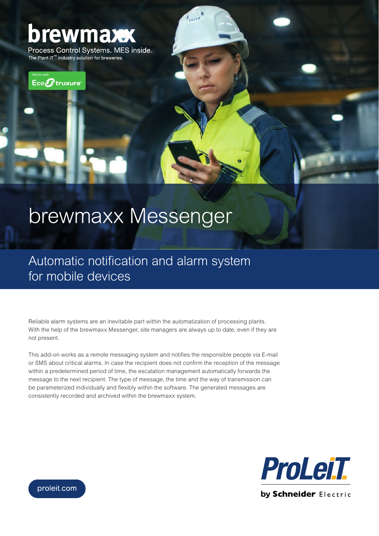## brewmaxx

Process Control Systems. MES inside. The Plant iT<sup>™</sup> industry solution for breweries.



## brewmaxx Messenger

Automatic notification and alarm system for mobile devices

Reliable alarm systems are an inevitable part within the automatization of processing plants. With the help of the brewmaxx Messenger, site managers are always up to date, even if they are not present.

This add-on works as a remote messaging system and notifies the responsible people via E-mail or SMS about critical alarms. In case the recipient does not confirm the reception of the message within a predetermined period of time, the escalation management automatically forwards the message to the next recipient. The type of message, the time and the way of transmission can be parameterized individually and flexibly within the software. The generated messages are consistently recorded and archived within the brewmaxx system.